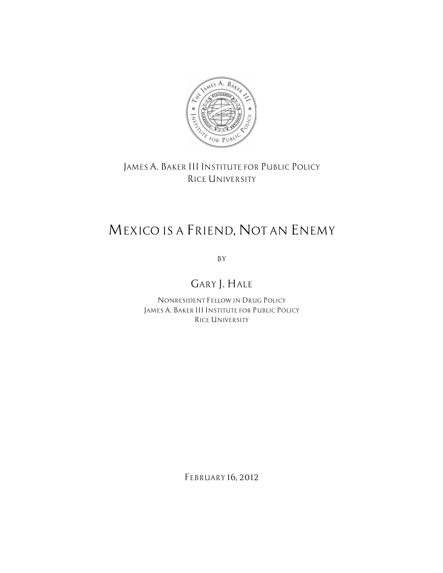

*JAMES A. BAKER III INSTITUTE FOR PUBLIC POLICY RICE UNIVERSITY*

# *MEXICO IS A FRIEND, NOT AN ENEMY*

*BY*

*GARY J. HALE*

*NONRESIDENT FELLOW IN DRUG POLICY JAMES A. BAKER III INSTITUTE FOR PUBLIC POLICY RICE UNIVERSITY*

*FEBRUARY 16, 2012*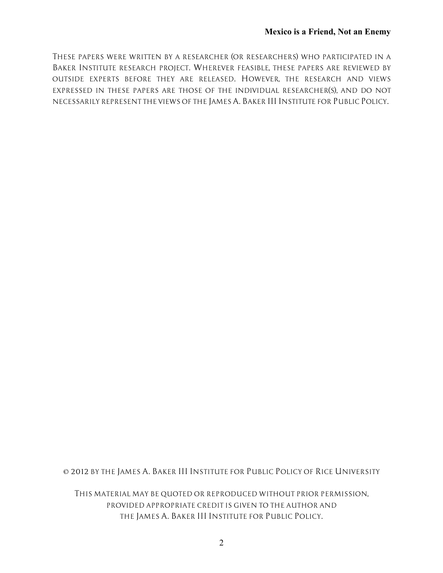*THESE PAPERS WERE WRITTEN BY A RESEARCHER (OR RESEARCHERS) WHO PARTICIPATED IN A BAKER INSTITUTE RESEARCH PROJECT. WHEREVER FEASIBLE, THESE PAPERS ARE REVIEWED BY OUTSIDE EXPERTS BEFORE THEY ARE RELEASED. HOWEVER, THE RESEARCH AND VIEWS EXPRESSED IN THESE PAPERS ARE THOSE OF THE INDIVIDUAL RESEARCHER(S), AND DO NOT NECESSARILY REPRESENT THE VIEWS OF THE JAMES A. BAKER III INSTITUTE FOR PUBLIC POLICY.*

*© 2012 BY THE JAMES A. BAKER III INSTITUTE FOR PUBLIC POLICY OF RICE UNIVERSITY*

*THIS MATERIAL MAY BE QUOTED OR REPRODUCED WITHOUT PRIOR PERMISSION, PROVIDED APPROPRIATE CREDIT IS GIVEN TO THE AUTHOR AND THE JAMES A. BAKER III INSTITUTE FOR PUBLIC POLICY.*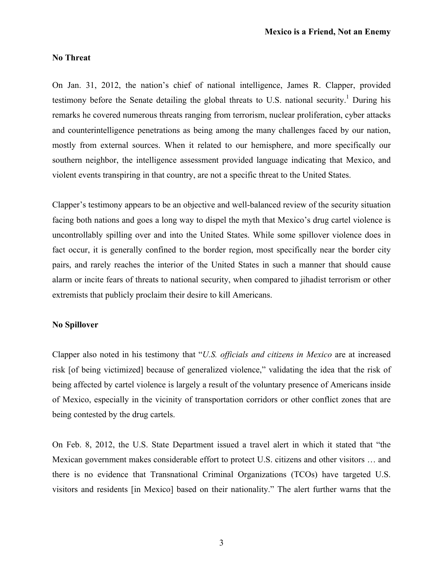#### **No Threat**

On Jan. 31, 2012, the nation's chief of national intelligence, James R. Clapper, provided testimony before the Senate detailing the global threats to U.S. national security.<sup>1</sup> During his remarks he covered numerous threats ranging from terrorism, nuclear proliferation, cyber attacks and counterintelligence penetrations as being among the many challenges faced by our nation, mostly from external sources. When it related to our hemisphere, and more specifically our southern neighbor, the intelligence assessment provided language indicating that Mexico, and violent events transpiring in that country, are not a specific threat to the United States.

Clapper's testimony appears to be an objective and well-balanced review of the security situation facing both nations and goes a long way to dispel the myth that Mexico's drug cartel violence is uncontrollably spilling over and into the United States. While some spillover violence does in fact occur, it is generally confined to the border region, most specifically near the border city pairs, and rarely reaches the interior of the United States in such a manner that should cause alarm or incite fears of threats to national security, when compared to jihadist terrorism or other extremists that publicly proclaim their desire to kill Americans.

#### **No Spillover**

Clapper also noted in his testimony that "*U.S. officials and citizens in Mexico* are at increased risk [of being victimized] because of generalized violence," validating the idea that the risk of being affected by cartel violence is largely a result of the voluntary presence of Americans inside of Mexico, especially in the vicinity of transportation corridors or other conflict zones that are being contested by the drug cartels.

On Feb. 8, 2012, the U.S. State Department issued a travel alert in which it stated that "the Mexican government makes considerable effort to protect U.S. citizens and other visitors … and there is no evidence that Transnational Criminal Organizations (TCOs) have targeted U.S. visitors and residents [in Mexico] based on their nationality." The alert further warns that the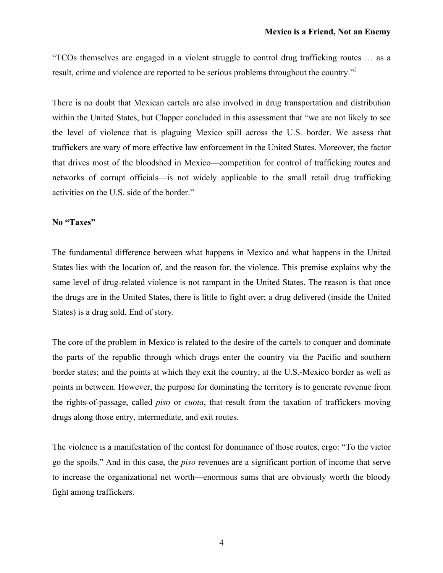"TCOs themselves are engaged in a violent struggle to control drug trafficking routes … as a result, crime and violence are reported to be serious problems throughout the country."<sup>2</sup>

There is no doubt that Mexican cartels are also involved in drug transportation and distribution within the United States, but Clapper concluded in this assessment that "we are not likely to see the level of violence that is plaguing Mexico spill across the U.S. border. We assess that traffickers are wary of more effective law enforcement in the United States. Moreover, the factor that drives most of the bloodshed in Mexico—competition for control of trafficking routes and networks of corrupt officials—is not widely applicable to the small retail drug trafficking activities on the U.S. side of the border."

#### **No "Taxes"**

The fundamental difference between what happens in Mexico and what happens in the United States lies with the location of, and the reason for, the violence. This premise explains why the same level of drug-related violence is not rampant in the United States. The reason is that once the drugs are in the United States, there is little to fight over; a drug delivered (inside the United States) is a drug sold. End of story.

The core of the problem in Mexico is related to the desire of the cartels to conquer and dominate the parts of the republic through which drugs enter the country via the Pacific and southern border states; and the points at which they exit the country, at the U.S.-Mexico border as well as points in between. However, the purpose for dominating the territory is to generate revenue from the rights-of-passage, called *piso* or *cuota*, that result from the taxation of traffickers moving drugs along those entry, intermediate, and exit routes.

The violence is a manifestation of the contest for dominance of those routes, ergo: "To the victor go the spoils." And in this case, the *piso* revenues are a significant portion of income that serve to increase the organizational net worth—enormous sums that are obviously worth the bloody fight among traffickers.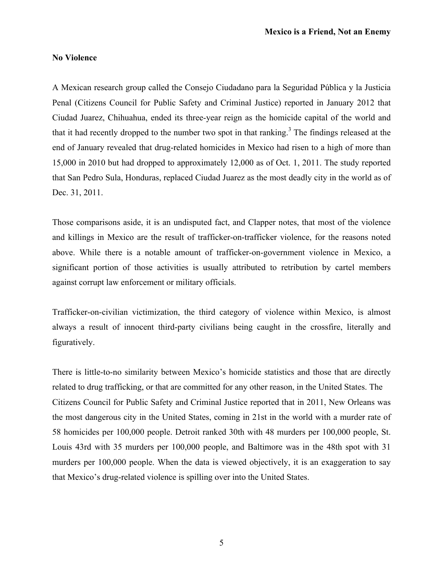## **No Violence**

A Mexican research group called the Consejo Ciudadano para la Seguridad Pública y la Justicia Penal (Citizens Council for Public Safety and Criminal Justice) reported in January 2012 that Ciudad Juarez, Chihuahua, ended its three-year reign as the homicide capital of the world and that it had recently dropped to the number two spot in that ranking.<sup>3</sup> The findings released at the end of January revealed that drug-related homicides in Mexico had risen to a high of more than 15,000 in 2010 but had dropped to approximately 12,000 as of Oct. 1, 2011. The study reported that San Pedro Sula, Honduras, replaced Ciudad Juarez as the most deadly city in the world as of Dec. 31, 2011.

Those comparisons aside, it is an undisputed fact, and Clapper notes, that most of the violence and killings in Mexico are the result of trafficker-on-trafficker violence, for the reasons noted above. While there is a notable amount of trafficker-on-government violence in Mexico, a significant portion of those activities is usually attributed to retribution by cartel members against corrupt law enforcement or military officials.

Trafficker-on-civilian victimization, the third category of violence within Mexico, is almost always a result of innocent third-party civilians being caught in the crossfire, literally and figuratively.

There is little-to-no similarity between Mexico's homicide statistics and those that are directly related to drug trafficking, or that are committed for any other reason, in the United States. The Citizens Council for Public Safety and Criminal Justice reported that in 2011, New Orleans was the most dangerous city in the United States, coming in 21st in the world with a murder rate of 58 homicides per 100,000 people. Detroit ranked 30th with 48 murders per 100,000 people, St. Louis 43rd with 35 murders per 100,000 people, and Baltimore was in the 48th spot with 31 murders per 100,000 people. When the data is viewed objectively, it is an exaggeration to say that Mexico's drug-related violence is spilling over into the United States.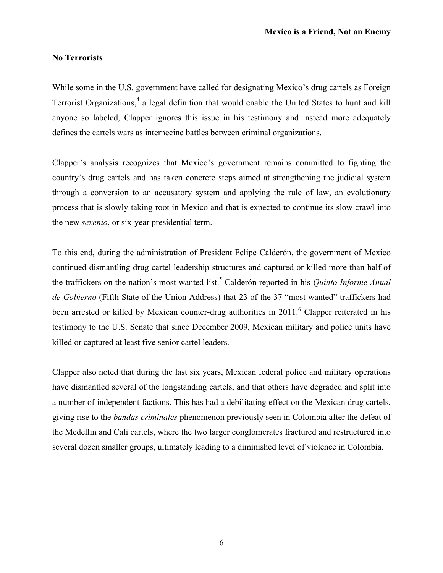## **No Terrorists**

While some in the U.S. government have called for designating Mexico's drug cartels as Foreign Terrorist Organizations, <sup>4</sup> a legal definition that would enable the United States to hunt and kill anyone so labeled, Clapper ignores this issue in his testimony and instead more adequately defines the cartels wars as internecine battles between criminal organizations.

Clapper's analysis recognizes that Mexico's government remains committed to fighting the country's drug cartels and has taken concrete steps aimed at strengthening the judicial system through a conversion to an accusatory system and applying the rule of law, an evolutionary process that is slowly taking root in Mexico and that is expected to continue its slow crawl into the new *sexenio*, or six-year presidential term.

To this end, during the administration of President Felipe Calderón, the government of Mexico continued dismantling drug cartel leadership structures and captured or killed more than half of the traffickers on the nation's most wanted list. <sup>5</sup> Calderón reported in his *Quinto Informe Anual de Gobierno* (Fifth State of the Union Address) that 23 of the 37 "most wanted" traffickers had been arrested or killed by Mexican counter-drug authorities in 2011. Clapper reiterated in his testimony to the U.S. Senate that since December 2009, Mexican military and police units have killed or captured at least five senior cartel leaders.

Clapper also noted that during the last six years, Mexican federal police and military operations have dismantled several of the longstanding cartels, and that others have degraded and split into a number of independent factions. This has had a debilitating effect on the Mexican drug cartels, giving rise to the *bandas criminales* phenomenon previously seen in Colombia after the defeat of the Medellin and Cali cartels, where the two larger conglomerates fractured and restructured into several dozen smaller groups, ultimately leading to a diminished level of violence in Colombia.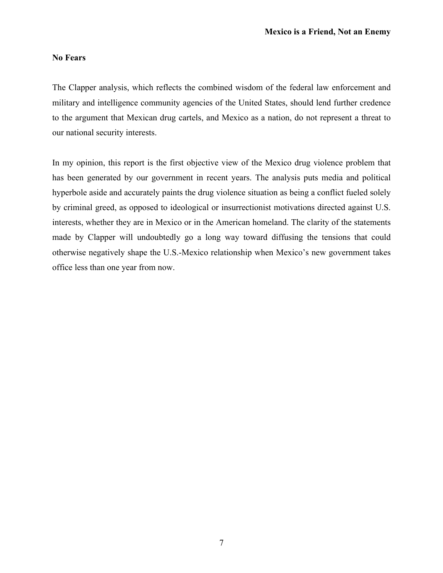# **No Fears**

The Clapper analysis, which reflects the combined wisdom of the federal law enforcement and military and intelligence community agencies of the United States, should lend further credence to the argument that Mexican drug cartels, and Mexico as a nation, do not represent a threat to our national security interests.

In my opinion, this report is the first objective view of the Mexico drug violence problem that has been generated by our government in recent years. The analysis puts media and political hyperbole aside and accurately paints the drug violence situation as being a conflict fueled solely by criminal greed, as opposed to ideological or insurrectionist motivations directed against U.S. interests, whether they are in Mexico or in the American homeland. The clarity of the statements made by Clapper will undoubtedly go a long way toward diffusing the tensions that could otherwise negatively shape the U.S.-Mexico relationship when Mexico's new government takes office less than one year from now.